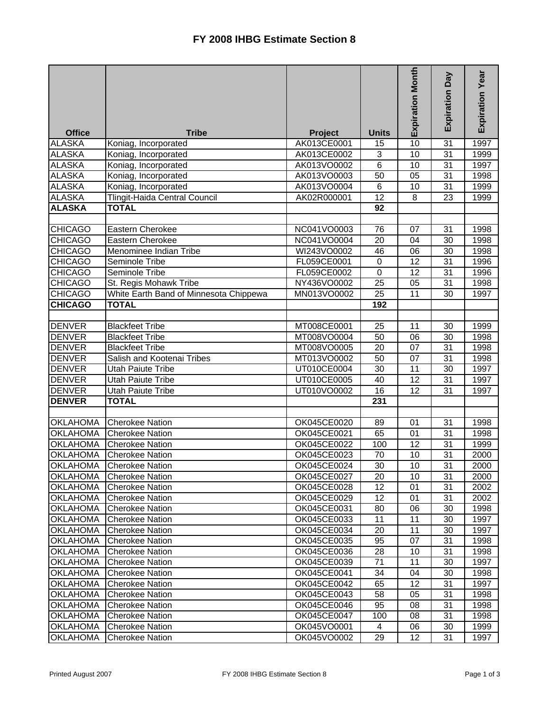|                 |                                        |                |                 | <b>Expiration Month</b> | Expiration Day  | Expiration Year |
|-----------------|----------------------------------------|----------------|-----------------|-------------------------|-----------------|-----------------|
| <b>Office</b>   | <b>Tribe</b>                           | <b>Project</b> | <b>Units</b>    |                         |                 |                 |
| <b>ALASKA</b>   | Koniag, Incorporated                   | AK013CE0001    | 15              | 10                      | 31              | 1997            |
| <b>ALASKA</b>   | Koniag, Incorporated                   | AK013CE0002    | $\overline{3}$  | 10                      | $\overline{31}$ | 1999            |
| <b>ALASKA</b>   | Koniag, Incorporated                   | AK013VO0002    | 6               | $\overline{10}$         | 31              | 1997            |
| <b>ALASKA</b>   | Koniag, Incorporated                   | AK013VO0003    | 50              | $\overline{05}$         | $\overline{31}$ | 1998            |
| <b>ALASKA</b>   | Koniag, Incorporated                   | AK013VO0004    | $\overline{6}$  | $\overline{10}$         | $\overline{31}$ | 1999            |
| <b>ALASKA</b>   | <b>Tlingit-Haida Central Council</b>   | AK02R000001    | $\overline{12}$ | 8                       | 23              | 1999            |
| <b>ALASKA</b>   | <b>TOTAL</b>                           |                | 92              |                         |                 |                 |
|                 |                                        |                |                 |                         |                 |                 |
| <b>CHICAGO</b>  | Eastern Cherokee                       | NC041VO0003    | 76              | 07                      | 31              | 1998            |
| <b>CHICAGO</b>  | Eastern Cherokee                       | NC041VO0004    | 20              | 04                      | 30              | 1998            |
| <b>CHICAGO</b>  | Menominee Indian Tribe                 | WI243VO0002    | 46              | 06                      | 30              | 1998            |
| <b>CHICAGO</b>  | Seminole Tribe                         | FL059CE0001    | $\mathbf 0$     | 12                      | 31              | 1996            |
| <b>CHICAGO</b>  | Seminole Tribe                         | FL059CE0002    | $\mathbf 0$     | $\overline{12}$         | 31              | 1996            |
| <b>CHICAGO</b>  | St. Regis Mohawk Tribe                 | NY436VO0002    | 25              | 05                      | 31              | 1998            |
| <b>CHICAGO</b>  | White Earth Band of Minnesota Chippewa | MN013VO0002    | 25              | 11                      | 30              | 1997            |
| <b>CHICAGO</b>  | <b>TOTAL</b>                           |                | 192             |                         |                 |                 |
|                 |                                        |                |                 |                         |                 |                 |
| <b>DENVER</b>   | <b>Blackfeet Tribe</b>                 | MT008CE0001    | 25              | 11                      | 30              | 1999            |
| <b>DENVER</b>   | <b>Blackfeet Tribe</b>                 | MT008VO0004    | 50              | 06                      | 30              | 1998            |
| <b>DENVER</b>   | <b>Blackfeet Tribe</b>                 | MT008VO0005    | 20              | 07                      | 31              | 1998            |
| <b>DENVER</b>   | Salish and Kootenai Tribes             | MT013VO0002    | 50              | 07                      | 31              | 1998            |
| <b>DENVER</b>   | <b>Utah Paiute Tribe</b>               | UT010CE0004    | 30              | 11                      | $\overline{30}$ | 1997            |
| <b>DENVER</b>   | <b>Utah Paiute Tribe</b>               | UT010CE0005    | 40              | 12                      | 31              | 1997            |
| <b>DENVER</b>   | <b>Utah Paiute Tribe</b>               | UT010VO0002    | 16              | 12                      | 31              | 1997            |
| <b>DENVER</b>   | <b>TOTAL</b>                           |                | 231             |                         |                 |                 |
|                 |                                        |                |                 |                         |                 |                 |
| <b>OKLAHOMA</b> | <b>Cherokee Nation</b>                 | OK045CE0020    | 89              | 01                      | 31              | 1998            |
| <b>OKLAHOMA</b> | <b>Cherokee Nation</b>                 | OK045CE0021    | 65              | 01                      | 31              | 1998            |
| <b>OKLAHOMA</b> | <b>Cherokee Nation</b>                 | OK045CE0022    | 100             | 12                      | 31              | 1999            |
| <b>OKLAHOMA</b> | <b>Cherokee Nation</b>                 | OK045CE0023    | 70              | 10                      | 31              | 2000            |
| <b>OKLAHOMA</b> | <b>Cherokee Nation</b>                 | OK045CE0024    | $\overline{30}$ | $\overline{10}$         | 31              | 2000            |
| <b>OKLAHOMA</b> | <b>Cherokee Nation</b>                 | OK045CE0027    | 20              | 10                      | 31              | 2000            |
| <b>OKLAHOMA</b> | <b>Cherokee Nation</b>                 | OK045CE0028    | 12              | 01                      | 31              | 2002            |
| <b>OKLAHOMA</b> | <b>Cherokee Nation</b>                 | OK045CE0029    | 12              | 01                      | 31              | 2002            |
| <b>OKLAHOMA</b> | <b>Cherokee Nation</b>                 | OK045CE0031    | 80              | 06                      | 30              | 1998            |
| <b>OKLAHOMA</b> | <b>Cherokee Nation</b>                 | OK045CE0033    | 11              | 11                      | 30              | 1997            |
| <b>OKLAHOMA</b> | <b>Cherokee Nation</b>                 | OK045CE0034    | 20              | 11                      | 30              | 1997            |
| <b>OKLAHOMA</b> | <b>Cherokee Nation</b>                 | OK045CE0035    | 95              | 07                      | 31              | 1998            |
| <b>OKLAHOMA</b> | <b>Cherokee Nation</b>                 | OK045CE0036    | 28              | 10                      | 31              | 1998            |
| <b>OKLAHOMA</b> | <b>Cherokee Nation</b>                 | OK045CE0039    | 71              | 11                      | 30              | 1997            |
| <b>OKLAHOMA</b> | <b>Cherokee Nation</b>                 | OK045CE0041    | 34              | 04                      | 30              | 1998            |
| <b>OKLAHOMA</b> | <b>Cherokee Nation</b>                 | OK045CE0042    | 65              | 12                      | 31              | 1997            |
| OKLAHOMA        | <b>Cherokee Nation</b>                 | OK045CE0043    | 58              | 05                      | 31              | 1998            |
| <b>OKLAHOMA</b> | <b>Cherokee Nation</b>                 | OK045CE0046    | 95              | 08                      | 31              | 1998            |
| <b>OKLAHOMA</b> | <b>Cherokee Nation</b>                 | OK045CE0047    | 100             | 08                      | 31              | 1998            |
| <b>OKLAHOMA</b> | <b>Cherokee Nation</b>                 | OK045VO0001    | 4               | 06                      | 30              | 1999            |
| <b>OKLAHOMA</b> | <b>Cherokee Nation</b>                 | OK045VO0002    | 29              | 12                      | 31              | 1997            |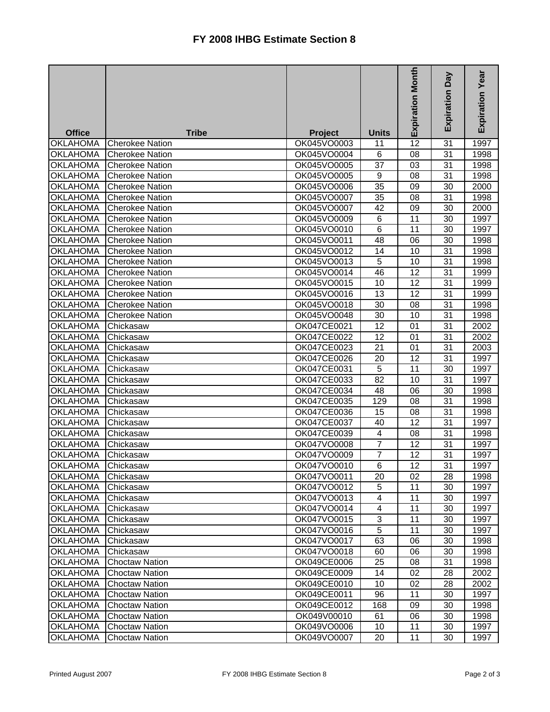|                 |                        |                |                         | <b>Expiration Month</b> | <b>Day</b><br>Expiration | <b>Expiration Year</b> |
|-----------------|------------------------|----------------|-------------------------|-------------------------|--------------------------|------------------------|
|                 |                        |                |                         |                         |                          |                        |
| <b>Office</b>   | <b>Tribe</b>           | <b>Project</b> | <b>Units</b>            |                         |                          |                        |
| <b>OKLAHOMA</b> | <b>Cherokee Nation</b> | OK045VO0003    | 11                      | 12                      | 31                       | 1997                   |
| <b>OKLAHOMA</b> | <b>Cherokee Nation</b> | OK045VO0004    | 6                       | 08                      | 31                       | 1998                   |
| <b>OKLAHOMA</b> | <b>Cherokee Nation</b> | OK045VO0005    | 37                      | 03                      | 31                       | 1998                   |
| <b>OKLAHOMA</b> | <b>Cherokee Nation</b> | OK045VO0005    | $\overline{9}$          | 08                      | 31                       | 1998                   |
| <b>OKLAHOMA</b> | <b>Cherokee Nation</b> | OK045VO0006    | 35                      | 09                      | 30                       | 2000                   |
| <b>OKLAHOMA</b> | <b>Cherokee Nation</b> | OK045VO0007    | 35                      | 08                      | 31                       | 1998                   |
| <b>OKLAHOMA</b> | <b>Cherokee Nation</b> | OK045VO0007    | 42                      | 09                      | 30                       | 2000                   |
| <b>OKLAHOMA</b> | <b>Cherokee Nation</b> | OK045VO0009    | 6                       | 11                      | 30                       | 1997                   |
| <b>OKLAHOMA</b> | <b>Cherokee Nation</b> | OK045VO0010    | 6                       | 11                      | 30                       | 1997                   |
| <b>OKLAHOMA</b> | <b>Cherokee Nation</b> | OK045VO0011    | 48                      | 06                      | 30                       | 1998                   |
| <b>OKLAHOMA</b> | <b>Cherokee Nation</b> | OK045VO0012    | 14                      | 10                      | 31                       | 1998                   |
| <b>OKLAHOMA</b> | <b>Cherokee Nation</b> | OK045VO0013    | $\overline{5}$          | 10                      | 31                       | 1998                   |
| <b>OKLAHOMA</b> | <b>Cherokee Nation</b> | OK045VO0014    | 46                      | $\overline{12}$         | 31                       | 1999                   |
| <b>OKLAHOMA</b> | <b>Cherokee Nation</b> | OK045VO0015    | 10                      | $\overline{12}$         | 31                       | 1999                   |
| <b>OKLAHOMA</b> | <b>Cherokee Nation</b> | OK045VO0016    | 13                      | $\overline{12}$         | 31                       | 1999                   |
| <b>OKLAHOMA</b> | <b>Cherokee Nation</b> | OK045VO0018    | 30                      | 08                      | 31                       | 1998                   |
| <b>OKLAHOMA</b> | <b>Cherokee Nation</b> | OK045VO0048    | 30                      | 10                      | 31                       | 1998                   |
| <b>OKLAHOMA</b> | Chickasaw              | OK047CE0021    | 12                      | 01                      | 31                       | 2002                   |
| <b>OKLAHOMA</b> | Chickasaw              | OK047CE0022    | 12                      | 01                      | 31                       | 2002                   |
| <b>OKLAHOMA</b> | Chickasaw              | OK047CE0023    | 21                      | 01                      | 31                       | 2003                   |
| <b>OKLAHOMA</b> | Chickasaw              | OK047CE0026    | 20                      | 12                      | 31                       | 1997                   |
| <b>OKLAHOMA</b> | Chickasaw              | OK047CE0031    | 5                       | 11                      | 30                       | 1997                   |
| <b>OKLAHOMA</b> | Chickasaw              | OK047CE0033    | 82                      | 10                      | 31                       | 1997                   |
| <b>OKLAHOMA</b> | Chickasaw              | OK047CE0034    | 48                      | 06                      | 30                       | 1998                   |
| <b>OKLAHOMA</b> | Chickasaw              | OK047CE0035    | 129                     | 08                      | 31                       | 1998                   |
| <b>OKLAHOMA</b> | Chickasaw              | OK047CE0036    | 15                      | 08                      | 31                       | 1998                   |
| <b>OKLAHOMA</b> | Chickasaw              | OK047CE0037    | 40                      | 12                      | 31                       | 1997                   |
| <b>OKLAHOMA</b> | Chickasaw              | OK047CE0039    | $\overline{\mathbf{4}}$ | 08                      | 31                       | 1998                   |
| <b>OKLAHOMA</b> | Chickasaw              | OK047VO0008    | $\overline{7}$          | 12                      | 31                       | 1997                   |
| <b>OKLAHOMA</b> | Chickasaw              | OK047VO0009    | 7                       | 12                      | 31                       | 1997                   |
| <b>OKLAHOMA</b> | Chickasaw              | OK047VO0010    | 6                       | 12                      | 31                       | 1997                   |
| <b>OKLAHOMA</b> | Chickasaw              | OK047VO0011    | 20                      | 02                      | 28                       | 1998                   |
| <b>OKLAHOMA</b> | Chickasaw              | OK047VO0012    | 5                       | 11                      | 30                       | 1997                   |
| <b>OKLAHOMA</b> | Chickasaw              | OK047VO0013    | 4                       | 11                      | 30                       | 1997                   |
| <b>OKLAHOMA</b> | Chickasaw              | OK047VO0014    | 4                       | 11                      | 30                       | 1997                   |
| <b>OKLAHOMA</b> | Chickasaw              | OK047VO0015    | 3                       | 11                      | 30                       | 1997                   |
| <b>OKLAHOMA</b> | Chickasaw              | OK047VO0016    | 5                       | 11                      | 30                       | 1997                   |
| <b>OKLAHOMA</b> | Chickasaw              | OK047VO0017    | 63                      | 06                      | 30                       | 1998                   |
| <b>OKLAHOMA</b> | Chickasaw              | OK047VO0018    | 60                      | 06                      | 30                       | 1998                   |
| <b>OKLAHOMA</b> | <b>Choctaw Nation</b>  | OK049CE0006    | 25                      | 08                      | 31                       | 1998                   |
| <b>OKLAHOMA</b> | <b>Choctaw Nation</b>  | OK049CE0009    | 14                      | 02                      | 28                       | 2002                   |
| <b>OKLAHOMA</b> | <b>Choctaw Nation</b>  | OK049CE0010    | 10                      | 02                      | 28                       | 2002                   |
| <b>OKLAHOMA</b> | <b>Choctaw Nation</b>  | OK049CE0011    | 96                      | 11                      | 30                       | 1997                   |
| <b>OKLAHOMA</b> | <b>Choctaw Nation</b>  | OK049CE0012    | 168                     | 09                      | 30                       | 1998                   |
| <b>OKLAHOMA</b> | <b>Choctaw Nation</b>  | OK049V00010    | 61                      | 06                      | 30                       | 1998                   |
| <b>OKLAHOMA</b> | <b>Choctaw Nation</b>  | OK049VO0006    | 10                      | 11                      | 30                       | 1997                   |
| <b>OKLAHOMA</b> | <b>Choctaw Nation</b>  | OK049VO0007    | 20                      | 11                      | 30                       | 1997                   |